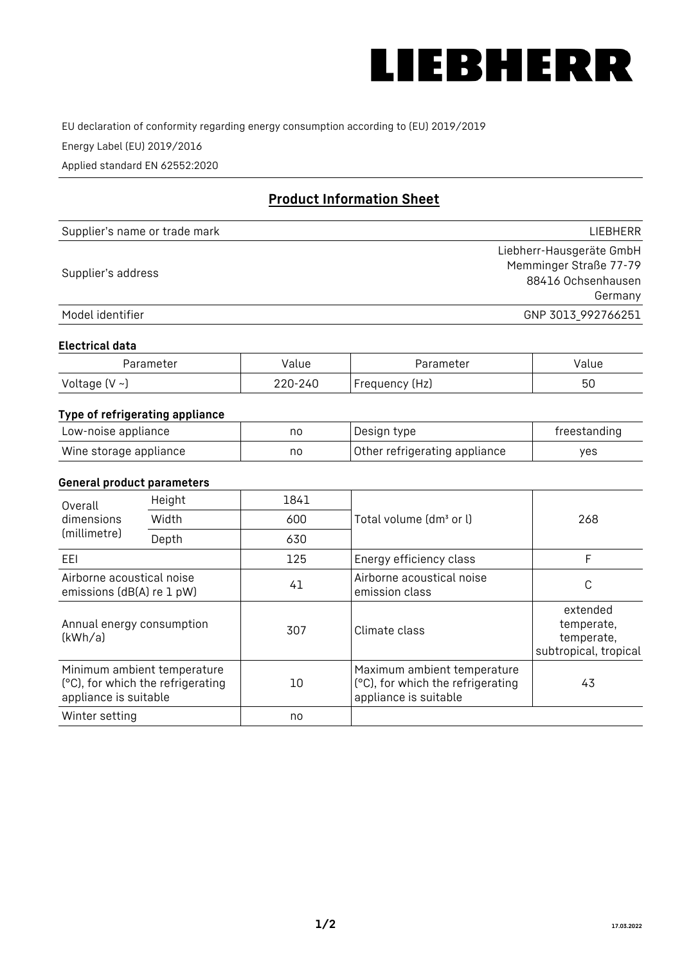

EU declaration of conformity regarding energy consumption according to (EU) 2019/2019

Energy Label (EU) 2019/2016

Applied standard EN 62552:2020

# **Product Information Sheet**

| Supplier's name or trade mark | <b>LIFBHFRR</b>          |
|-------------------------------|--------------------------|
|                               | Liebherr-Hausgeräte GmbH |
| Supplier's address            | Memminger Straße 77-79   |
|                               | 88416 Ochsenhausen       |
|                               | Germany                  |
| Model identifier              | GNP 3013_992766251       |

#### **Electrical data**

| Parameter     | Value   | Parameter      | Value |
|---------------|---------|----------------|-------|
| Voltage (V ~) | 220-240 | Frequency (Hz) | 50    |

# **Type of refrigerating appliance**

| Low-noise appliance    | nc | Design type                   | freestanding |
|------------------------|----|-------------------------------|--------------|
| Wine storage appliance | nc | Other refrigerating appliance | ves          |

## **General product parameters**

| Height<br>Overall                                      |                                                                  | 1841 |                                                                                           |                                                               |
|--------------------------------------------------------|------------------------------------------------------------------|------|-------------------------------------------------------------------------------------------|---------------------------------------------------------------|
| dimensions<br>(millimetre)                             | Width                                                            | 600  | Total volume (dm <sup>3</sup> or l)                                                       | 268                                                           |
|                                                        | Depth                                                            | 630  |                                                                                           |                                                               |
| EEL                                                    |                                                                  | 125  | Energy efficiency class                                                                   | F                                                             |
| Airborne acoustical noise<br>emissions (dB(A) re 1 pW) |                                                                  | 41   | Airborne acoustical noise<br>emission class                                               | C                                                             |
| Annual energy consumption<br>(kWh/a)                   |                                                                  | 307  | Climate class                                                                             | extended<br>temperate,<br>temperate,<br>subtropical, tropical |
| appliance is suitable                                  | Minimum ambient temperature<br>(°C), for which the refrigerating | 10   | Maximum ambient temperature<br>(°C), for which the refrigerating<br>appliance is suitable | 43                                                            |
| Winter setting                                         |                                                                  | no   |                                                                                           |                                                               |